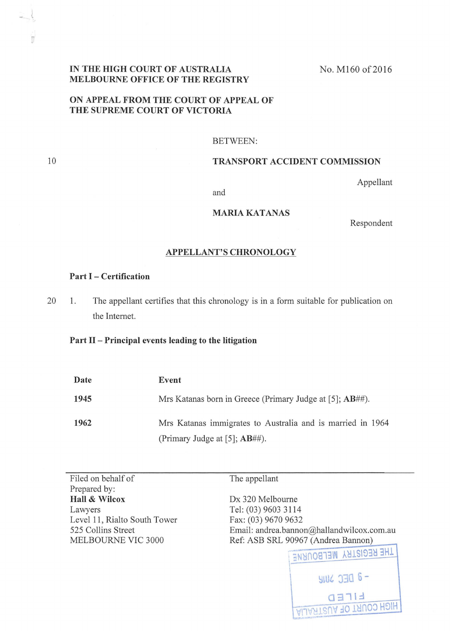## IN THE HIGH COURT OF AUSTRALIA MELBOURNE OFFICE OF THE REGISTRY

No. M160 of 2016

# ON APPEAL FROM THE COURT OF APPEAL OF THE SUPREME COURT OF VICTORIA

#### BETWEEN:

#### TRANSPORT ACCIDENT COMMISSION

Appellant

and

# MARIA KATANAS

Respondent

#### APPELLANT'S CHRONOLOGY

### Part I - Certification

10

'n

20 1. The appellant certifies that this chronology is in a form suitable for publication on the Internet.

## Part 11- Principal events leading to the litigation

| Date | Event                                                        |
|------|--------------------------------------------------------------|
| 1945 | Mrs Katanas born in Greece (Primary Judge at [5]; $AB\#$ #). |
| 1962 | Mrs Katanas immigrates to Australia and is married in 1964   |
|      | (Primary Judge at [5]; $AB\#$ #).                            |

Filed on behalf of Prepared by: Hall & Wilcox Lawyers Level 11, Rialto South Tower 525 Collins Street MELBOURNE VIC 3000

The appellant

Dx 320 Melbourne Tel: (03) 9603 3114 Fax: (03) 9670 9632 Email: andrea. bannon@hallandwilcox.com.au Ref: ASB SRL 90967 (Andrea Bannon)

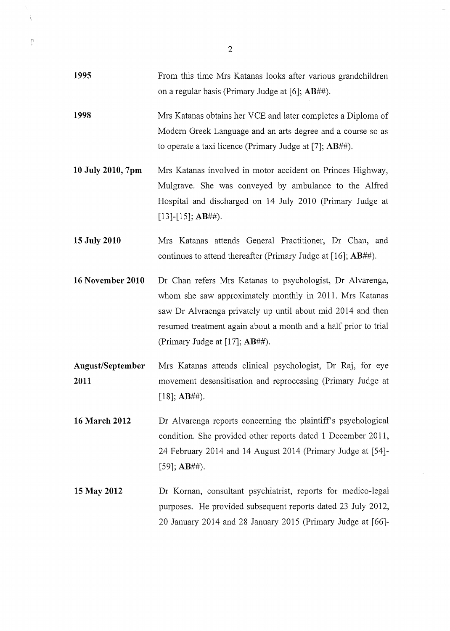| 1995                     | From this time Mrs Katanas looks after various grandchildren<br>on a regular basis (Primary Judge at [6]; $AB\#$ $#$ ).                                                                                                                                                                  |
|--------------------------|------------------------------------------------------------------------------------------------------------------------------------------------------------------------------------------------------------------------------------------------------------------------------------------|
| 1998                     | Mrs Katanas obtains her VCE and later completes a Diploma of<br>Modern Greek Language and an arts degree and a course so as<br>to operate a taxi licence (Primary Judge at [7]; $AB\#$ ).                                                                                                |
| 10 July 2010, 7pm        | Mrs Katanas involved in motor accident on Princes Highway,<br>Mulgrave. She was conveyed by ambulance to the Alfred<br>Hospital and discharged on 14 July 2010 (Primary Judge at<br>$[13]$ - $[15]$ ; AB##).                                                                             |
| 15 July 2010             | Mrs Katanas attends General Practitioner, Dr Chan, and<br>continues to attend thereafter (Primary Judge at [16]; $AB\#$ $#$ ).                                                                                                                                                           |
| 16 November 2010         | Dr Chan refers Mrs Katanas to psychologist, Dr Alvarenga,<br>whom she saw approximately monthly in 2011. Mrs Katanas<br>saw Dr Alvraenga privately up until about mid 2014 and then<br>resumed treatment again about a month and a half prior to trial<br>(Primary Judge at [17]; AB##). |
| August/September<br>2011 | Mrs Katanas attends clinical psychologist, Dr Raj, for eye<br>movement desensitisation and reprocessing (Primary Judge at<br>$[18]$ ; AB##).                                                                                                                                             |
| <b>16 March 2012</b>     | Dr Alvarenga reports concerning the plaintiff's psychological<br>condition. She provided other reports dated 1 December 2011,<br>24 February 2014 and 14 August 2014 (Primary Judge at [54]-<br>$[59]$ ; AB##).                                                                          |
| 15 May 2012              | Dr Kornan, consultant psychiatrist, reports for medico-legal<br>purposes. He provided subsequent reports dated 23 July 2012,<br>20 January 2014 and 28 January 2015 (Primary Judge at [66]-                                                                                              |

2

Ń,  $\frac{1}{2}$ 

 $\sum_{i=1}^{n}$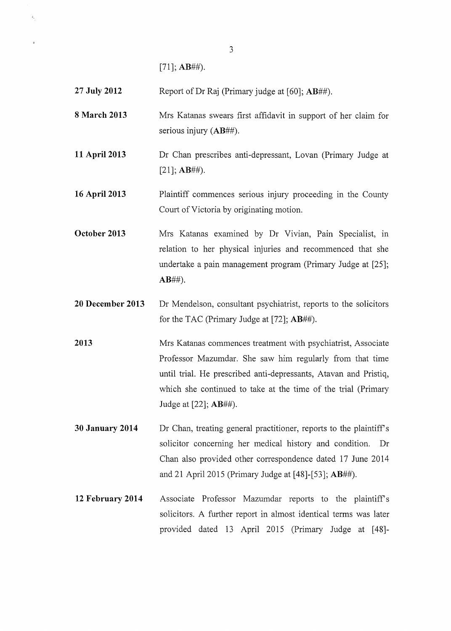[71]; **AB##).** 

 $\hat{\xi}_i$ 

**27 July 2012**  Report ofDr Raj (Primary judge at [60]; **AB##).** 

**8 March 2013**  Mrs Katanas swears first affidavit in support of her claim for serious injury **(AB##).** 

**11 April 2013**  Dr Chan prescribes anti-depressant, Lovan (Primary Judge at [21]; **AB##).** 

**16 April2013**  Plaintiff commences serious injury proceeding in the County Court of Victoria by originating motion.

**October 2013**  Mrs Katanas examined by Dr Vivian, Pain Specialist, in relation to her physical injuries and recommenced that she undertake a pain management program (Primary Judge at [25]; **AB##).** 

**20 December 2013**  Dr Mendelson, consultant psychiatrist, reports to the solicitors for the TAC (Primary Judge at [72]; **AB##).** 

**2013**  Mrs Katanas commences treatment with psychiatrist, Associate Professor Mazumdar. She saw him regularly from that time until trial. He prescribed anti-depressants, Atavan and Pristiq, which she continued to take at the time of the trial (Primary Judge at [22]; **AB##).** 

**30 January 2014**  Dr Chan, treating general practitioner, reports to the plaintiff's solicitor concerning her medical history and condition. Dr Chan also provided other correspondence dated 17 June 2014 and 21 April2015 (Primary Judge at [48]-[53]; **AB##).** 

**12 February 2014**  Associate Professor Mazumdar reports to the plaintiff's solicitors. A further report in almost identical terms was later provided dated 13 April 2015 (Primary Judge at [48]-

3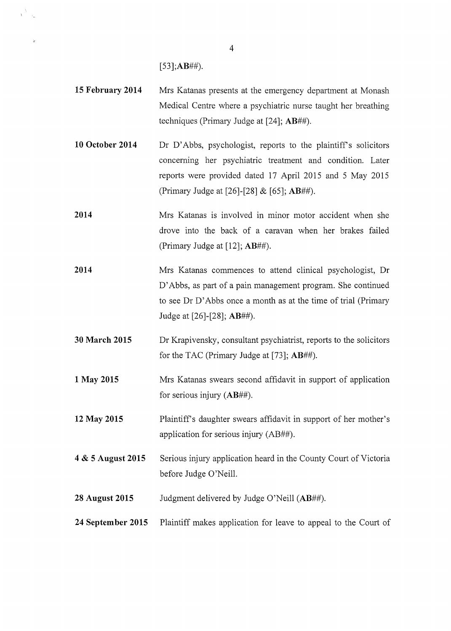**[53];AB##).** 

- **15 February 2014**  Mrs Katanas presents at the emergency department at Monash Medical Centre where a psychiatric nurse taught her breathing techniques (Primary Judge at [24]; **AB##).**
- **10 October 2014**  Dr D'Abbs, psychologist, reports to the plaintiff's solicitors concerning her psychiatric treatment and condition. Later reports were provided dated 17 April 2015 and 5 May 2015 (Primary Judge at [26]-[28] & [65]; **AB##).**
- **2014**  Mrs Katanas is involved in minor motor accident when she drove into the back of a caravan when her brakes failed (Primary Judge at [12]; **AB##).**
- **2014**  Mrs Katanas commences to attend clinical psychologist, Dr D' Abbs, as part of a pain management program. She continued to see Dr D' Abbs once a month as at the time of trial (Primary Judge at [26]-[28]; **AB##).**
- **30 March 2015** Dr Krapivensky, consultant psychiatrist, reports to the solicitors for the TAC (Primary Judge at [73]; **AB##).**
- **1 May 2015** Mrs Katanas swears second affidavit in support of application for serious injury **(AB##).**
- **12 May 2015** Plaintiffs daughter swears affidavit in support of her mother's application for serious injury (AB##).
- **4 & 5 August 2015** Serious injury application heard in the County Court of Victoria before Judge O'Neill.
- **28 August 2015** Judgment delivered by Judge O'Neill **(AB##).**
- **24 September 2015** Plaintiff makes application for leave to appeal to the Court of